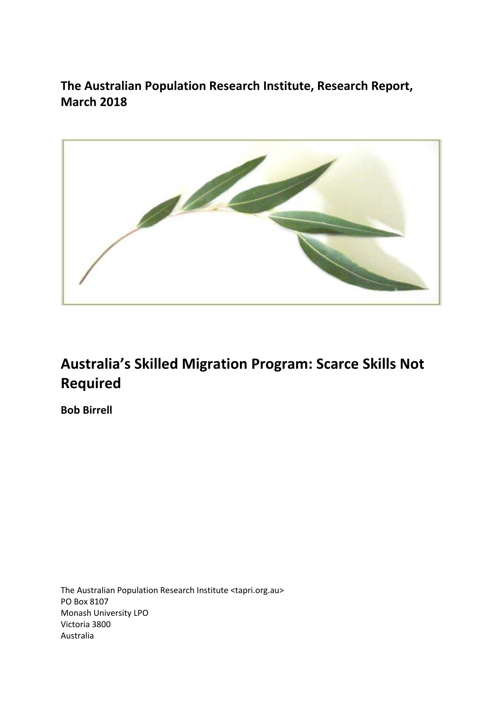**The Australian Population Research Institute, Research Report, March 2018**



# **Australia's Skilled Migration Program: Scarce Skills Not Required**

**Bob Birrell**

The Australian Population Research Institute <tapri.org.au> PO Box 8107 Monash University LPO Victoria 3800 Australia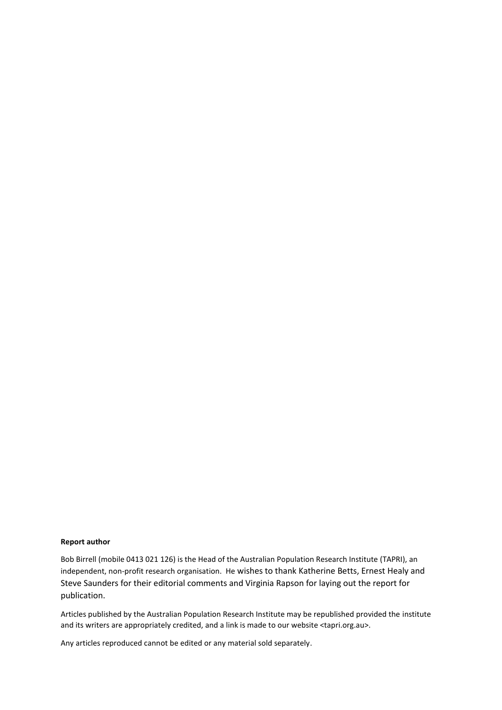#### **Report author**

Bob Birrell (mobile 0413 021 126) is the Head of the Australian Population Research Institute (TAPRI), an independent, non-profit research organisation. He wishes to thank Katherine Betts, Ernest Healy and Steve Saunders for their editorial comments and Virginia Rapson for laying out the report for publication.

Articles published by the Australian Population Research Institute may be republished provided the institute and its writers are appropriately credited, and a link is made to our website <tapri.org.au>.

Any articles reproduced cannot be edited or any material sold separately.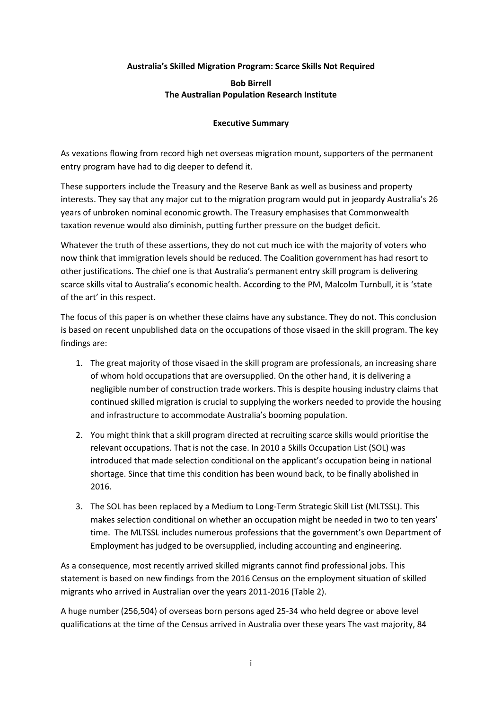# **Australia's Skilled Migration Program: Scarce Skills Not Required**

## **Bob Birrell The Australian Population Research Institute**

## **Executive Summary**

As vexations flowing from record high net overseas migration mount, supporters of the permanent entry program have had to dig deeper to defend it.

These supporters include the Treasury and the Reserve Bank as well as business and property interests. They say that any major cut to the migration program would put in jeopardy Australia's 26 years of unbroken nominal economic growth. The Treasury emphasises that Commonwealth taxation revenue would also diminish, putting further pressure on the budget deficit.

Whatever the truth of these assertions, they do not cut much ice with the majority of voters who now think that immigration levels should be reduced. The Coalition government has had resort to other justifications. The chief one is that Australia's permanent entry skill program is delivering scarce skills vital to Australia's economic health. According to the PM, Malcolm Turnbull, it is 'state of the art' in this respect.

The focus of this paper is on whether these claims have any substance. They do not. This conclusion is based on recent unpublished data on the occupations of those visaed in the skill program. The key findings are:

- 1. The great majority of those visaed in the skill program are professionals, an increasing share of whom hold occupations that are oversupplied. On the other hand, it is delivering a negligible number of construction trade workers. This is despite housing industry claims that continued skilled migration is crucial to supplying the workers needed to provide the housing and infrastructure to accommodate Australia's booming population.
- 2. You might think that a skill program directed at recruiting scarce skills would prioritise the relevant occupations. That is not the case. In 2010 a Skills Occupation List (SOL) was introduced that made selection conditional on the applicant's occupation being in national shortage. Since that time this condition has been wound back, to be finally abolished in 2016.
- 3. The SOL has been replaced by a Medium to Long-Term Strategic Skill List (MLTSSL). This makes selection conditional on whether an occupation might be needed in two to ten years' time. The MLTSSL includes numerous professions that the government's own Department of Employment has judged to be oversupplied, including accounting and engineering.

As a consequence, most recently arrived skilled migrants cannot find professional jobs. This statement is based on new findings from the 2016 Census on the employment situation of skilled migrants who arrived in Australian over the years 2011-2016 (Table 2).

A huge number (256,504) of overseas born persons aged 25-34 who held degree or above level qualifications at the time of the Census arrived in Australia over these years The vast majority, 84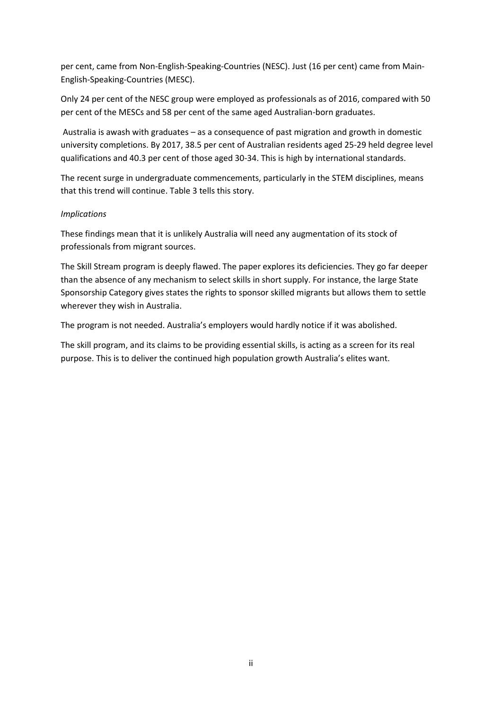per cent, came from Non-English-Speaking-Countries (NESC). Just (16 per cent) came from Main-English-Speaking-Countries (MESC).

Only 24 per cent of the NESC group were employed as professionals as of 2016, compared with 50 per cent of the MESCs and 58 per cent of the same aged Australian-born graduates.

Australia is awash with graduates – as a consequence of past migration and growth in domestic university completions. By 2017, 38.5 per cent of Australian residents aged 25-29 held degree level qualifications and 40.3 per cent of those aged 30-34. This is high by international standards.

The recent surge in undergraduate commencements, particularly in the STEM disciplines, means that this trend will continue. Table 3 tells this story.

## *Implications*

These findings mean that it is unlikely Australia will need any augmentation of its stock of professionals from migrant sources.

The Skill Stream program is deeply flawed. The paper explores its deficiencies. They go far deeper than the absence of any mechanism to select skills in short supply. For instance, the large State Sponsorship Category gives states the rights to sponsor skilled migrants but allows them to settle wherever they wish in Australia.

The program is not needed. Australia's employers would hardly notice if it was abolished.

The skill program, and its claims to be providing essential skills, is acting as a screen for its real purpose. This is to deliver the continued high population growth Australia's elites want.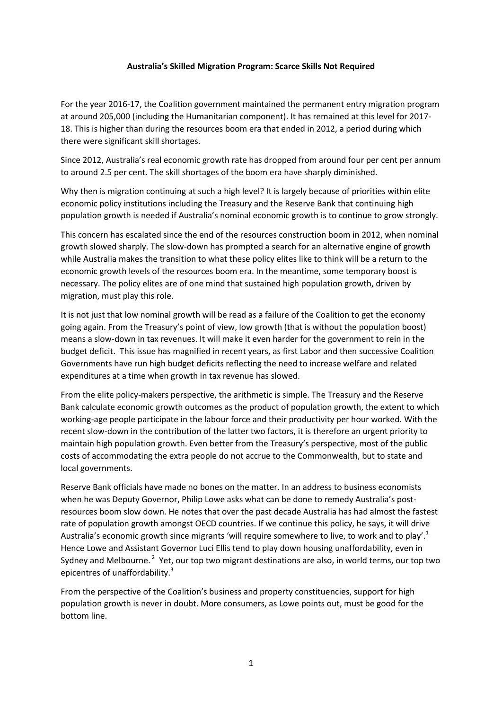## **Australia's Skilled Migration Program: Scarce Skills Not Required**

For the year 2016-17, the Coalition government maintained the permanent entry migration program at around 205,000 (including the Humanitarian component). It has remained at this level for 2017- 18. This is higher than during the resources boom era that ended in 2012, a period during which there were significant skill shortages.

Since 2012, Australia's real economic growth rate has dropped from around four per cent per annum to around 2.5 per cent. The skill shortages of the boom era have sharply diminished.

Why then is migration continuing at such a high level? It is largely because of priorities within elite economic policy institutions including the Treasury and the Reserve Bank that continuing high population growth is needed if Australia's nominal economic growth is to continue to grow strongly.

This concern has escalated since the end of the resources construction boom in 2012, when nominal growth slowed sharply. The slow-down has prompted a search for an alternative engine of growth while Australia makes the transition to what these policy elites like to think will be a return to the economic growth levels of the resources boom era. In the meantime, some temporary boost is necessary. The policy elites are of one mind that sustained high population growth, driven by migration, must play this role.

It is not just that low nominal growth will be read as a failure of the Coalition to get the economy going again. From the Treasury's point of view, low growth (that is without the population boost) means a slow-down in tax revenues. It will make it even harder for the government to rein in the budget deficit. This issue has magnified in recent years, as first Labor and then successive Coalition Governments have run high budget deficits reflecting the need to increase welfare and related expenditures at a time when growth in tax revenue has slowed.

From the elite policy-makers perspective, the arithmetic is simple. The Treasury and the Reserve Bank calculate economic growth outcomes as the product of population growth, the extent to which working-age people participate in the labour force and their productivity per hour worked. With the recent slow-down in the contribution of the latter two factors, it is therefore an urgent priority to maintain high population growth. Even better from the Treasury's perspective, most of the public costs of accommodating the extra people do not accrue to the Commonwealth, but to state and local governments.

Reserve Bank officials have made no bones on the matter. In an address to business economists when he was Deputy Governor, Philip Lowe asks what can be done to remedy Australia's postresources boom slow down. He notes that over the past decade Australia has had almost the fastest rate of population growth amongst OECD countries. If we continue this policy, he says, it will drive Australia's economic growth since migrants 'will require somewhere to live, to work and to play'.<sup>1</sup> Hence Lowe and Assistant Governor Luci Ellis tend to play down housing unaffordability, even in Sydney and Melbourne.<sup>2</sup> Yet, our top two migrant destinations are also, in world terms, our top two epicentres of unaffordability.<sup>3</sup>

From the perspective of the Coalition's business and property constituencies, support for high population growth is never in doubt. More consumers, as Lowe points out, must be good for the bottom line.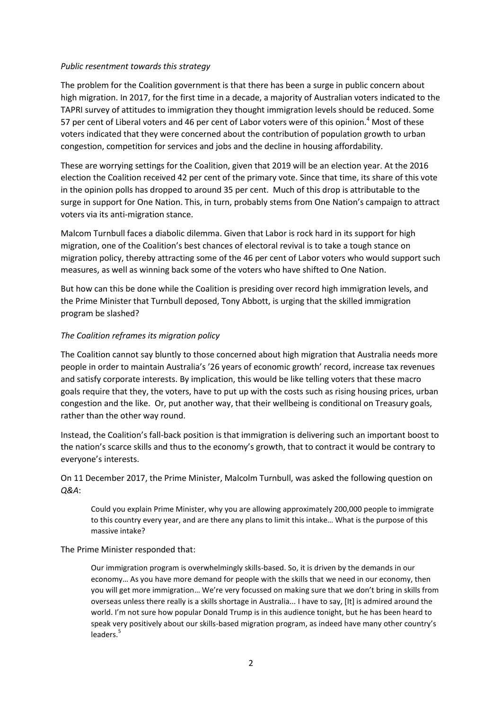#### *Public resentment towards this strategy*

The problem for the Coalition government is that there has been a surge in public concern about high migration. In 2017, for the first time in a decade, a majority of Australian voters indicated to the TAPRI survey of attitudes to immigration they thought immigration levels should be reduced. Some 57 per cent of Liberal voters and 46 per cent of Labor voters were of this opinion.<sup>4</sup> Most of these voters indicated that they were concerned about the contribution of population growth to urban congestion, competition for services and jobs and the decline in housing affordability.

These are worrying settings for the Coalition, given that 2019 will be an election year. At the 2016 election the Coalition received 42 per cent of the primary vote. Since that time, its share of this vote in the opinion polls has dropped to around 35 per cent. Much of this drop is attributable to the surge in support for One Nation. This, in turn, probably stems from One Nation's campaign to attract voters via its anti-migration stance.

Malcom Turnbull faces a diabolic dilemma. Given that Labor is rock hard in its support for high migration, one of the Coalition's best chances of electoral revival is to take a tough stance on migration policy, thereby attracting some of the 46 per cent of Labor voters who would support such measures, as well as winning back some of the voters who have shifted to One Nation.

But how can this be done while the Coalition is presiding over record high immigration levels, and the Prime Minister that Turnbull deposed, Tony Abbott, is urging that the skilled immigration program be slashed?

## *The Coalition reframes its migration policy*

The Coalition cannot say bluntly to those concerned about high migration that Australia needs more people in order to maintain Australia's '26 years of economic growth' record, increase tax revenues and satisfy corporate interests. By implication, this would be like telling voters that these macro goals require that they, the voters, have to put up with the costs such as rising housing prices, urban congestion and the like. Or, put another way, that their wellbeing is conditional on Treasury goals, rather than the other way round.

Instead, the Coalition's fall-back position is that immigration is delivering such an important boost to the nation's scarce skills and thus to the economy's growth, that to contract it would be contrary to everyone's interests.

On 11 December 2017, the Prime Minister, Malcolm Turnbull, was asked the following question on *Q&A*:

Could you explain Prime Minister, why you are allowing approximately 200,000 people to immigrate to this country every year, and are there any plans to limit this intake… What is the purpose of this massive intake?

## The Prime Minister responded that:

Our immigration program is overwhelmingly skills-based. So, it is driven by the demands in our economy… As you have more demand for people with the skills that we need in our economy, then you will get more immigration… We're very focussed on making sure that we don't bring in skills from overseas unless there really is a skills shortage in Australia... I have to say, [It] is admired around the world. I'm not sure how popular Donald Trump is in this audience tonight, but he has been heard to speak very positively about our skills-based migration program, as indeed have many other country's leaders. 5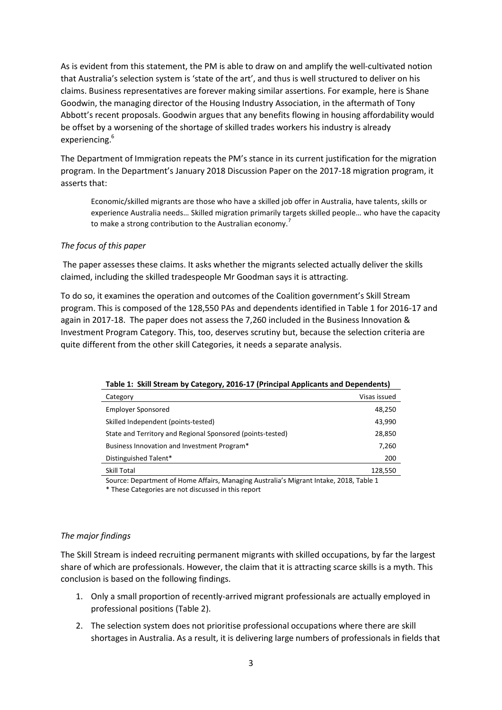As is evident from this statement, the PM is able to draw on and amplify the well-cultivated notion that Australia's selection system is 'state of the art', and thus is well structured to deliver on his claims. Business representatives are forever making similar assertions. For example, here is Shane Goodwin, the managing director of the Housing Industry Association, in the aftermath of Tony Abbott's recent proposals. Goodwin argues that any benefits flowing in housing affordability would be offset by a worsening of the shortage of skilled trades workers his industry is already experiencing.<sup>6</sup>

The Department of Immigration repeats the PM's stance in its current justification for the migration program. In the Department's January 2018 Discussion Paper on the 2017-18 migration program, it asserts that:

Economic/skilled migrants are those who have a skilled job offer in Australia, have talents, skills or experience Australia needs… Skilled migration primarily targets skilled people… who have the capacity to make a strong contribution to the Australian economy.<sup>7</sup>

## *The focus of this paper*

The paper assesses these claims. It asks whether the migrants selected actually deliver the skills claimed, including the skilled tradespeople Mr Goodman says it is attracting.

To do so, it examines the operation and outcomes of the Coalition government's Skill Stream program. This is composed of the 128,550 PAs and dependents identified in Table 1 for 2016-17 and again in 2017-18. The paper does not assess the 7,260 included in the Business Innovation & Investment Program Category. This, too, deserves scrutiny but, because the selection criteria are quite different from the other skill Categories, it needs a separate analysis.

| Table 1. Skill Stream by Category, 2010 17 Trimelpar Applicants and Dependents,                                                                                                                                                   |              |  |  |  |  |
|-----------------------------------------------------------------------------------------------------------------------------------------------------------------------------------------------------------------------------------|--------------|--|--|--|--|
| Category                                                                                                                                                                                                                          | Visas issued |  |  |  |  |
| <b>Employer Sponsored</b>                                                                                                                                                                                                         | 48,250       |  |  |  |  |
| Skilled Independent (points-tested)                                                                                                                                                                                               | 43,990       |  |  |  |  |
| State and Territory and Regional Sponsored (points-tested)                                                                                                                                                                        | 28,850       |  |  |  |  |
| Business Innovation and Investment Program*                                                                                                                                                                                       | 7,260        |  |  |  |  |
| Distinguished Talent*                                                                                                                                                                                                             | 200          |  |  |  |  |
| Skill Total                                                                                                                                                                                                                       | 128,550      |  |  |  |  |
| $\alpha$ . The second of the second contract of the second $\pi$ is a second contract of the second of the second second second second second second second second second second second second second second second second second |              |  |  |  |  |

**Table 1: Skill Stream by Category, 2016-17 (Principal Applicants and Dependents)**

Source: Department of Home Affairs, Managing Australia's Migrant Intake, 2018, Table 1

\* These Categories are not discussed in this report

## *The major findings*

The Skill Stream is indeed recruiting permanent migrants with skilled occupations, by far the largest share of which are professionals. However, the claim that it is attracting scarce skills is a myth. This conclusion is based on the following findings.

- 1. Only a small proportion of recently-arrived migrant professionals are actually employed in professional positions (Table 2).
- 2. The selection system does not prioritise professional occupations where there are skill shortages in Australia. As a result, it is delivering large numbers of professionals in fields that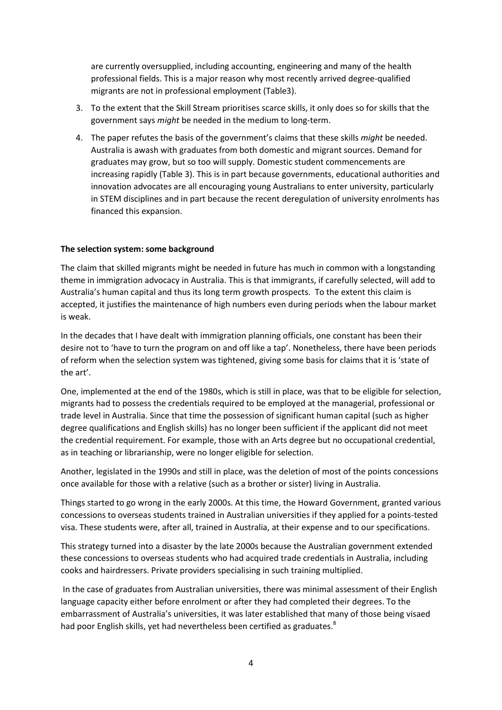are currently oversupplied, including accounting, engineering and many of the health professional fields. This is a major reason why most recently arrived degree-qualified migrants are not in professional employment (Table3).

- 3. To the extent that the Skill Stream prioritises scarce skills, it only does so for skills that the government says *might* be needed in the medium to long-term.
- 4. The paper refutes the basis of the government's claims that these skills *might* be needed. Australia is awash with graduates from both domestic and migrant sources. Demand for graduates may grow, but so too will supply. Domestic student commencements are increasing rapidly (Table 3). This is in part because governments, educational authorities and innovation advocates are all encouraging young Australians to enter university, particularly in STEM disciplines and in part because the recent deregulation of university enrolments has financed this expansion.

## **The selection system: some background**

The claim that skilled migrants might be needed in future has much in common with a longstanding theme in immigration advocacy in Australia. This is that immigrants, if carefully selected, will add to Australia's human capital and thus its long term growth prospects. To the extent this claim is accepted, it justifies the maintenance of high numbers even during periods when the labour market is weak.

In the decades that I have dealt with immigration planning officials, one constant has been their desire not to 'have to turn the program on and off like a tap'. Nonetheless, there have been periods of reform when the selection system was tightened, giving some basis for claims that it is 'state of the art'.

One, implemented at the end of the 1980s, which is still in place, was that to be eligible for selection, migrants had to possess the credentials required to be employed at the managerial, professional or trade level in Australia. Since that time the possession of significant human capital (such as higher degree qualifications and English skills) has no longer been sufficient if the applicant did not meet the credential requirement. For example, those with an Arts degree but no occupational credential, as in teaching or librarianship, were no longer eligible for selection.

Another, legislated in the 1990s and still in place, was the deletion of most of the points concessions once available for those with a relative (such as a brother or sister) living in Australia.

Things started to go wrong in the early 2000s. At this time, the Howard Government, granted various concessions to overseas students trained in Australian universities if they applied for a points-tested visa. These students were, after all, trained in Australia, at their expense and to our specifications.

This strategy turned into a disaster by the late 2000s because the Australian government extended these concessions to overseas students who had acquired trade credentials in Australia, including cooks and hairdressers. Private providers specialising in such training multiplied.

In the case of graduates from Australian universities, there was minimal assessment of their English language capacity either before enrolment or after they had completed their degrees. To the embarrassment of Australia's universities, it was later established that many of those being visaed had poor English skills, yet had nevertheless been certified as graduates. $8$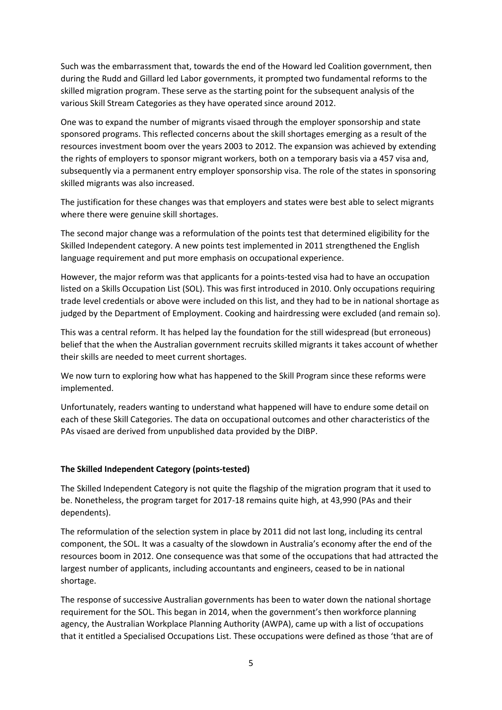Such was the embarrassment that, towards the end of the Howard led Coalition government, then during the Rudd and Gillard led Labor governments, it prompted two fundamental reforms to the skilled migration program. These serve as the starting point for the subsequent analysis of the various Skill Stream Categories as they have operated since around 2012.

One was to expand the number of migrants visaed through the employer sponsorship and state sponsored programs. This reflected concerns about the skill shortages emerging as a result of the resources investment boom over the years 2003 to 2012. The expansion was achieved by extending the rights of employers to sponsor migrant workers, both on a temporary basis via a 457 visa and, subsequently via a permanent entry employer sponsorship visa. The role of the states in sponsoring skilled migrants was also increased.

The justification for these changes was that employers and states were best able to select migrants where there were genuine skill shortages.

The second major change was a reformulation of the points test that determined eligibility for the Skilled Independent category. A new points test implemented in 2011 strengthened the English language requirement and put more emphasis on occupational experience.

However, the major reform was that applicants for a points-tested visa had to have an occupation listed on a Skills Occupation List (SOL). This was first introduced in 2010. Only occupations requiring trade level credentials or above were included on this list, and they had to be in national shortage as judged by the Department of Employment. Cooking and hairdressing were excluded (and remain so).

This was a central reform. It has helped lay the foundation for the still widespread (but erroneous) belief that the when the Australian government recruits skilled migrants it takes account of whether their skills are needed to meet current shortages.

We now turn to exploring how what has happened to the Skill Program since these reforms were implemented.

Unfortunately, readers wanting to understand what happened will have to endure some detail on each of these Skill Categories. The data on occupational outcomes and other characteristics of the PAs visaed are derived from unpublished data provided by the DIBP.

## **The Skilled Independent Category (points-tested)**

The Skilled Independent Category is not quite the flagship of the migration program that it used to be. Nonetheless, the program target for 2017-18 remains quite high, at 43,990 (PAs and their dependents).

The reformulation of the selection system in place by 2011 did not last long, including its central component, the SOL. It was a casualty of the slowdown in Australia's economy after the end of the resources boom in 2012. One consequence was that some of the occupations that had attracted the largest number of applicants, including accountants and engineers, ceased to be in national shortage.

The response of successive Australian governments has been to water down the national shortage requirement for the SOL. This began in 2014, when the government's then workforce planning agency, the Australian Workplace Planning Authority (AWPA), came up with a list of occupations that it entitled a Specialised Occupations List. These occupations were defined as those 'that are of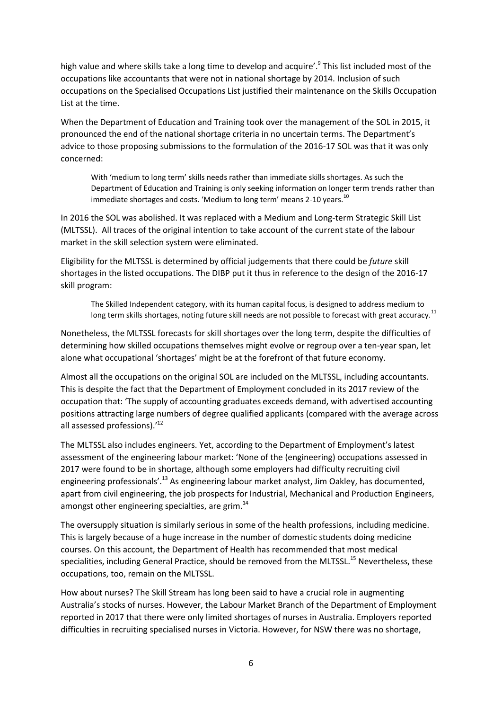high value and where skills take a long time to develop and acquire'.<sup>9</sup> This list included most of the occupations like accountants that were not in national shortage by 2014. Inclusion of such occupations on the Specialised Occupations List justified their maintenance on the Skills Occupation List at the time.

When the Department of Education and Training took over the management of the SOL in 2015, it pronounced the end of the national shortage criteria in no uncertain terms. The Department's advice to those proposing submissions to the formulation of the 2016-17 SOL was that it was only concerned:

With 'medium to long term' skills needs rather than immediate skills shortages. As such the Department of Education and Training is only seeking information on longer term trends rather than immediate shortages and costs. 'Medium to long term' means 2-10 years.<sup>10</sup>

In 2016 the SOL was abolished. It was replaced with a Medium and Long-term Strategic Skill List (MLTSSL). All traces of the original intention to take account of the current state of the labour market in the skill selection system were eliminated.

Eligibility for the MLTSSL is determined by official judgements that there could be *future* skill shortages in the listed occupations. The DIBP put it thus in reference to the design of the 2016-17 skill program:

The Skilled Independent category, with its human capital focus, is designed to address medium to long term skills shortages, noting future skill needs are not possible to forecast with great accuracy.<sup>11</sup>

Nonetheless, the MLTSSL forecasts for skill shortages over the long term, despite the difficulties of determining how skilled occupations themselves might evolve or regroup over a ten-year span, let alone what occupational 'shortages' might be at the forefront of that future economy.

Almost all the occupations on the original SOL are included on the MLTSSL, including accountants. This is despite the fact that the Department of Employment concluded in its 2017 review of the occupation that: 'The supply of accounting graduates exceeds demand, with advertised accounting positions attracting large numbers of degree qualified applicants (compared with the average across all assessed professions).'<sup>12</sup>

The MLTSSL also includes engineers. Yet, according to the Department of Employment's latest assessment of the engineering labour market: 'None of the (engineering) occupations assessed in 2017 were found to be in shortage, although some employers had difficulty recruiting civil engineering professionals'.<sup>13</sup> As engineering labour market analyst, Jim Oakley, has documented, apart from civil engineering, the job prospects for Industrial, Mechanical and Production Engineers, amongst other engineering specialties, are grim.<sup>14</sup>

The oversupply situation is similarly serious in some of the health professions, including medicine. This is largely because of a huge increase in the number of domestic students doing medicine courses. On this account, the Department of Health has recommended that most medical specialities, including General Practice, should be removed from the MLTSSL.<sup>15</sup> Nevertheless. these occupations, too, remain on the MLTSSL.

How about nurses? The Skill Stream has long been said to have a crucial role in augmenting Australia's stocks of nurses. However, the Labour Market Branch of the Department of Employment reported in 2017 that there were only limited shortages of nurses in Australia. Employers reported difficulties in recruiting specialised nurses in Victoria. However, for NSW there was no shortage,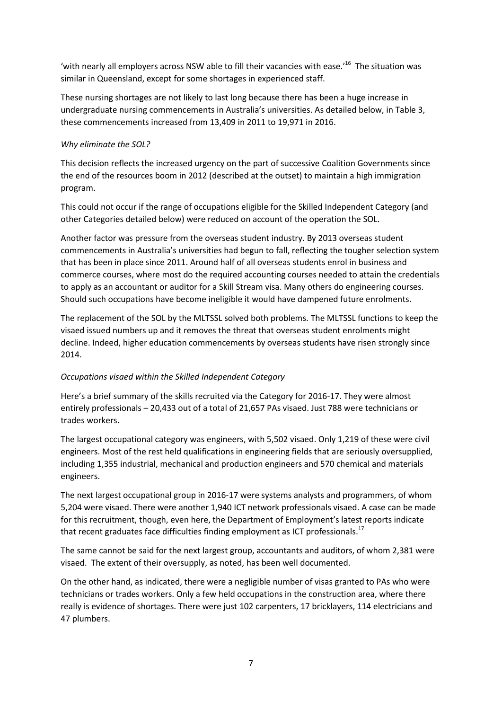'with nearly all employers across NSW able to fill their vacancies with ease.<sup>16</sup> The situation was similar in Queensland, except for some shortages in experienced staff.

These nursing shortages are not likely to last long because there has been a huge increase in undergraduate nursing commencements in Australia's universities. As detailed below, in Table 3, these commencements increased from 13,409 in 2011 to 19,971 in 2016.

## *Why eliminate the SOL?*

This decision reflects the increased urgency on the part of successive Coalition Governments since the end of the resources boom in 2012 (described at the outset) to maintain a high immigration program.

This could not occur if the range of occupations eligible for the Skilled Independent Category (and other Categories detailed below) were reduced on account of the operation the SOL.

Another factor was pressure from the overseas student industry. By 2013 overseas student commencements in Australia's universities had begun to fall, reflecting the tougher selection system that has been in place since 2011. Around half of all overseas students enrol in business and commerce courses, where most do the required accounting courses needed to attain the credentials to apply as an accountant or auditor for a Skill Stream visa. Many others do engineering courses. Should such occupations have become ineligible it would have dampened future enrolments.

The replacement of the SOL by the MLTSSL solved both problems. The MLTSSL functions to keep the visaed issued numbers up and it removes the threat that overseas student enrolments might decline. Indeed, higher education commencements by overseas students have risen strongly since 2014.

## *Occupations visaed within the Skilled Independent Category*

Here's a brief summary of the skills recruited via the Category for 2016-17. They were almost entirely professionals – 20,433 out of a total of 21,657 PAs visaed. Just 788 were technicians or trades workers.

The largest occupational category was engineers, with 5,502 visaed. Only 1,219 of these were civil engineers. Most of the rest held qualifications in engineering fields that are seriously oversupplied, including 1,355 industrial, mechanical and production engineers and 570 chemical and materials engineers.

The next largest occupational group in 2016-17 were systems analysts and programmers, of whom 5,204 were visaed. There were another 1,940 ICT network professionals visaed. A case can be made for this recruitment, though, even here, the Department of Employment's latest reports indicate that recent graduates face difficulties finding employment as ICT professionals.<sup>17</sup>

The same cannot be said for the next largest group, accountants and auditors, of whom 2,381 were visaed. The extent of their oversupply, as noted, has been well documented.

On the other hand, as indicated, there were a negligible number of visas granted to PAs who were technicians or trades workers. Only a few held occupations in the construction area, where there really is evidence of shortages. There were just 102 carpenters, 17 bricklayers, 114 electricians and 47 plumbers.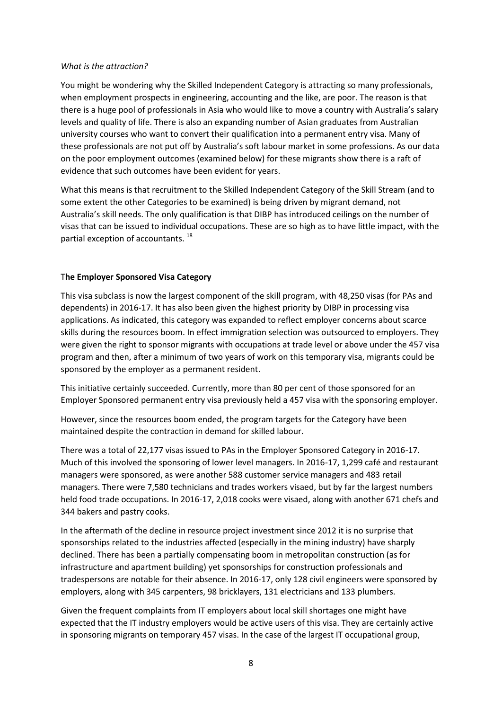#### *What is the attraction?*

You might be wondering why the Skilled Independent Category is attracting so many professionals, when employment prospects in engineering, accounting and the like, are poor. The reason is that there is a huge pool of professionals in Asia who would like to move a country with Australia's salary levels and quality of life. There is also an expanding number of Asian graduates from Australian university courses who want to convert their qualification into a permanent entry visa. Many of these professionals are not put off by Australia's soft labour market in some professions. As our data on the poor employment outcomes (examined below) for these migrants show there is a raft of evidence that such outcomes have been evident for years.

What this means is that recruitment to the Skilled Independent Category of the Skill Stream (and to some extent the other Categories to be examined) is being driven by migrant demand, not Australia's skill needs. The only qualification is that DIBP has introduced ceilings on the number of visas that can be issued to individual occupations. These are so high as to have little impact, with the partial exception of accountants.<sup>18</sup>

## T**he Employer Sponsored Visa Category**

This visa subclass is now the largest component of the skill program, with 48,250 visas (for PAs and dependents) in 2016-17. It has also been given the highest priority by DIBP in processing visa applications. As indicated, this category was expanded to reflect employer concerns about scarce skills during the resources boom. In effect immigration selection was outsourced to employers. They were given the right to sponsor migrants with occupations at trade level or above under the 457 visa program and then, after a minimum of two years of work on this temporary visa, migrants could be sponsored by the employer as a permanent resident.

This initiative certainly succeeded. Currently, more than 80 per cent of those sponsored for an Employer Sponsored permanent entry visa previously held a 457 visa with the sponsoring employer.

However, since the resources boom ended, the program targets for the Category have been maintained despite the contraction in demand for skilled labour.

There was a total of 22,177 visas issued to PAs in the Employer Sponsored Category in 2016-17. Much of this involved the sponsoring of lower level managers. In 2016-17, 1,299 café and restaurant managers were sponsored, as were another 588 customer service managers and 483 retail managers. There were 7,580 technicians and trades workers visaed, but by far the largest numbers held food trade occupations. In 2016-17, 2,018 cooks were visaed, along with another 671 chefs and 344 bakers and pastry cooks.

In the aftermath of the decline in resource project investment since 2012 it is no surprise that sponsorships related to the industries affected (especially in the mining industry) have sharply declined. There has been a partially compensating boom in metropolitan construction (as for infrastructure and apartment building) yet sponsorships for construction professionals and tradespersons are notable for their absence. In 2016-17, only 128 civil engineers were sponsored by employers, along with 345 carpenters, 98 bricklayers, 131 electricians and 133 plumbers.

Given the frequent complaints from IT employers about local skill shortages one might have expected that the IT industry employers would be active users of this visa. They are certainly active in sponsoring migrants on temporary 457 visas. In the case of the largest IT occupational group,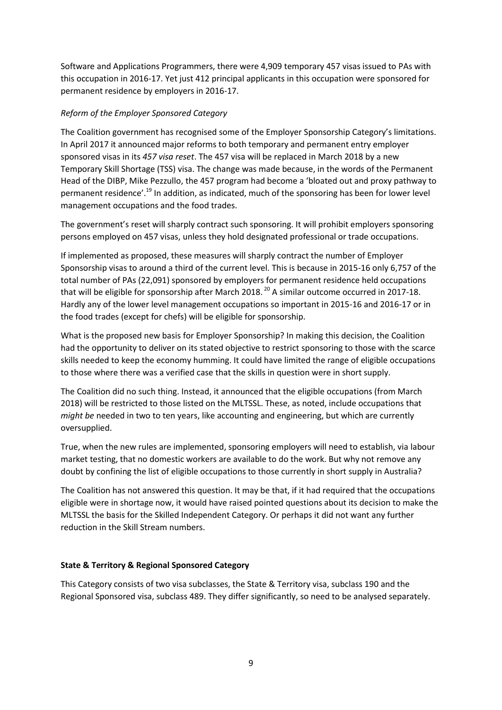Software and Applications Programmers, there were 4,909 temporary 457 visas issued to PAs with this occupation in 2016-17. Yet just 412 principal applicants in this occupation were sponsored for permanent residence by employers in 2016-17.

# *Reform of the Employer Sponsored Category*

The Coalition government has recognised some of the Employer Sponsorship Category's limitations. In April 2017 it announced major reforms to both temporary and permanent entry employer sponsored visas in its *457 visa reset*. The 457 visa will be replaced in March 2018 by a new Temporary Skill Shortage (TSS) visa. The change was made because, in the words of the Permanent Head of the DIBP, Mike Pezzullo, the 457 program had become a 'bloated out and proxy pathway to permanent residence'.<sup>19</sup> In addition, as indicated, much of the sponsoring has been for lower level management occupations and the food trades.

The government's reset will sharply contract such sponsoring. It will prohibit employers sponsoring persons employed on 457 visas, unless they hold designated professional or trade occupations.

If implemented as proposed, these measures will sharply contract the number of Employer Sponsorship visas to around a third of the current level. This is because in 2015-16 only 6,757 of the total number of PAs (22,091) sponsored by employers for permanent residence held occupations that will be eligible for sponsorship after March 2018.<sup>20</sup> A similar outcome occurred in 2017-18. Hardly any of the lower level management occupations so important in 2015-16 and 2016-17 or in the food trades (except for chefs) will be eligible for sponsorship.

What is the proposed new basis for Employer Sponsorship? In making this decision, the Coalition had the opportunity to deliver on its stated objective to restrict sponsoring to those with the scarce skills needed to keep the economy humming. It could have limited the range of eligible occupations to those where there was a verified case that the skills in question were in short supply.

The Coalition did no such thing. Instead, it announced that the eligible occupations (from March 2018) will be restricted to those listed on the MLTSSL. These, as noted, include occupations that *might be* needed in two to ten years, like accounting and engineering, but which are currently oversupplied.

True, when the new rules are implemented, sponsoring employers will need to establish, via labour market testing, that no domestic workers are available to do the work. But why not remove any doubt by confining the list of eligible occupations to those currently in short supply in Australia?

The Coalition has not answered this question. It may be that, if it had required that the occupations eligible were in shortage now, it would have raised pointed questions about its decision to make the MLTSSL the basis for the Skilled Independent Category. Or perhaps it did not want any further reduction in the Skill Stream numbers.

# **State & Territory & Regional Sponsored Category**

This Category consists of two visa subclasses, the State & Territory visa, subclass 190 and the Regional Sponsored visa, subclass 489. They differ significantly, so need to be analysed separately.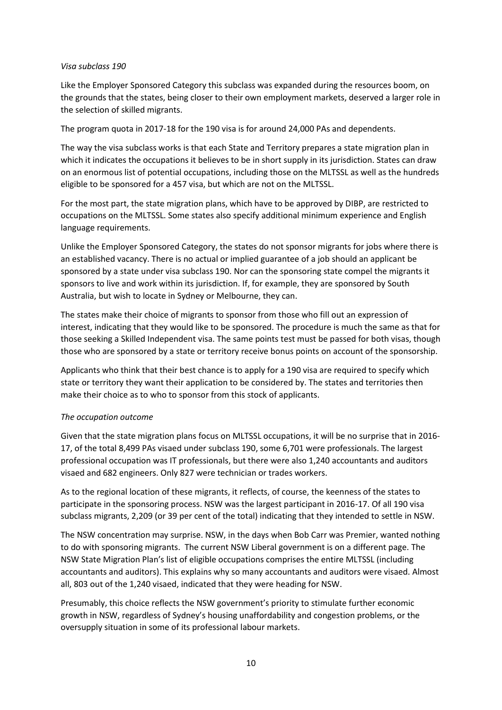## *Visa subclass 190*

Like the Employer Sponsored Category this subclass was expanded during the resources boom, on the grounds that the states, being closer to their own employment markets, deserved a larger role in the selection of skilled migrants.

The program quota in 2017-18 for the 190 visa is for around 24,000 PAs and dependents.

The way the visa subclass works is that each State and Territory prepares a state migration plan in which it indicates the occupations it believes to be in short supply in its jurisdiction. States can draw on an enormous list of potential occupations, including those on the MLTSSL as well as the hundreds eligible to be sponsored for a 457 visa, but which are not on the MLTSSL.

For the most part, the state migration plans, which have to be approved by DIBP, are restricted to occupations on the MLTSSL. Some states also specify additional minimum experience and English language requirements.

Unlike the Employer Sponsored Category, the states do not sponsor migrants for jobs where there is an established vacancy. There is no actual or implied guarantee of a job should an applicant be sponsored by a state under visa subclass 190. Nor can the sponsoring state compel the migrants it sponsors to live and work within its jurisdiction. If, for example, they are sponsored by South Australia, but wish to locate in Sydney or Melbourne, they can.

The states make their choice of migrants to sponsor from those who fill out an expression of interest, indicating that they would like to be sponsored. The procedure is much the same as that for those seeking a Skilled Independent visa. The same points test must be passed for both visas, though those who are sponsored by a state or territory receive bonus points on account of the sponsorship.

Applicants who think that their best chance is to apply for a 190 visa are required to specify which state or territory they want their application to be considered by. The states and territories then make their choice as to who to sponsor from this stock of applicants.

## *The occupation outcome*

Given that the state migration plans focus on MLTSSL occupations, it will be no surprise that in 2016- 17, of the total 8,499 PAs visaed under subclass 190, some 6,701 were professionals. The largest professional occupation was IT professionals, but there were also 1,240 accountants and auditors visaed and 682 engineers. Only 827 were technician or trades workers.

As to the regional location of these migrants, it reflects, of course, the keenness of the states to participate in the sponsoring process. NSW was the largest participant in 2016-17. Of all 190 visa subclass migrants, 2,209 (or 39 per cent of the total) indicating that they intended to settle in NSW.

The NSW concentration may surprise. NSW, in the days when Bob Carr was Premier, wanted nothing to do with sponsoring migrants. The current NSW Liberal government is on a different page. The NSW State Migration Plan's list of eligible occupations comprises the entire MLTSSL (including accountants and auditors). This explains why so many accountants and auditors were visaed. Almost all, 803 out of the 1,240 visaed, indicated that they were heading for NSW.

Presumably, this choice reflects the NSW government's priority to stimulate further economic growth in NSW, regardless of Sydney's housing unaffordability and congestion problems, or the oversupply situation in some of its professional labour markets.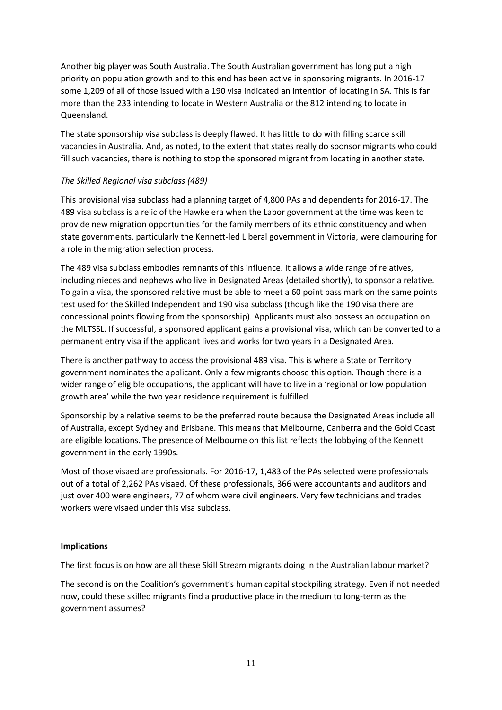Another big player was South Australia. The South Australian government has long put a high priority on population growth and to this end has been active in sponsoring migrants. In 2016-17 some 1,209 of all of those issued with a 190 visa indicated an intention of locating in SA. This is far more than the 233 intending to locate in Western Australia or the 812 intending to locate in Queensland.

The state sponsorship visa subclass is deeply flawed. It has little to do with filling scarce skill vacancies in Australia. And, as noted, to the extent that states really do sponsor migrants who could fill such vacancies, there is nothing to stop the sponsored migrant from locating in another state.

## *The Skilled Regional visa subclass (489)*

This provisional visa subclass had a planning target of 4,800 PAs and dependents for 2016-17. The 489 visa subclass is a relic of the Hawke era when the Labor government at the time was keen to provide new migration opportunities for the family members of its ethnic constituency and when state governments, particularly the Kennett-led Liberal government in Victoria, were clamouring for a role in the migration selection process.

The 489 visa subclass embodies remnants of this influence. It allows a wide range of relatives, including nieces and nephews who live in Designated Areas (detailed shortly), to sponsor a relative. To gain a visa, the sponsored relative must be able to meet a 60 point pass mark on the same points test used for the Skilled Independent and 190 visa subclass (though like the 190 visa there are concessional points flowing from the sponsorship). Applicants must also possess an occupation on the MLTSSL. If successful, a sponsored applicant gains a provisional visa, which can be converted to a permanent entry visa if the applicant lives and works for two years in a Designated Area.

There is another pathway to access the provisional 489 visa. This is where a State or Territory government nominates the applicant. Only a few migrants choose this option. Though there is a wider range of eligible occupations, the applicant will have to live in a 'regional or low population growth area' while the two year residence requirement is fulfilled.

Sponsorship by a relative seems to be the preferred route because the Designated Areas include all of Australia, except Sydney and Brisbane. This means that Melbourne, Canberra and the Gold Coast are eligible locations. The presence of Melbourne on this list reflects the lobbying of the Kennett government in the early 1990s.

Most of those visaed are professionals. For 2016-17, 1,483 of the PAs selected were professionals out of a total of 2,262 PAs visaed. Of these professionals, 366 were accountants and auditors and just over 400 were engineers, 77 of whom were civil engineers. Very few technicians and trades workers were visaed under this visa subclass.

## **Implications**

The first focus is on how are all these Skill Stream migrants doing in the Australian labour market?

The second is on the Coalition's government's human capital stockpiling strategy. Even if not needed now, could these skilled migrants find a productive place in the medium to long-term as the government assumes?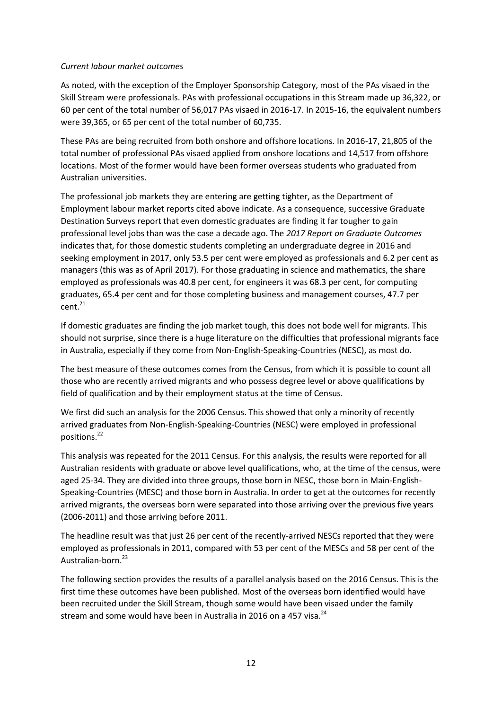## *Current labour market outcomes*

As noted, with the exception of the Employer Sponsorship Category, most of the PAs visaed in the Skill Stream were professionals. PAs with professional occupations in this Stream made up 36,322, or 60 per cent of the total number of 56,017 PAs visaed in 2016-17. In 2015-16, the equivalent numbers were 39,365, or 65 per cent of the total number of 60,735.

These PAs are being recruited from both onshore and offshore locations. In 2016-17, 21,805 of the total number of professional PAs visaed applied from onshore locations and 14,517 from offshore locations. Most of the former would have been former overseas students who graduated from Australian universities.

The professional job markets they are entering are getting tighter, as the Department of Employment labour market reports cited above indicate. As a consequence, successive Graduate Destination Surveys report that even domestic graduates are finding it far tougher to gain professional level jobs than was the case a decade ago. The *2017 Report on Graduate Outcomes* indicates that, for those domestic students completing an undergraduate degree in 2016 and seeking employment in 2017, only 53.5 per cent were employed as professionals and 6.2 per cent as managers (this was as of April 2017). For those graduating in science and mathematics, the share employed as professionals was 40.8 per cent, for engineers it was 68.3 per cent, for computing graduates, 65.4 per cent and for those completing business and management courses, 47.7 per  $cent<sup>21</sup>$ 

If domestic graduates are finding the job market tough, this does not bode well for migrants. This should not surprise, since there is a huge literature on the difficulties that professional migrants face in Australia, especially if they come from Non-English-Speaking-Countries (NESC), as most do.

The best measure of these outcomes comes from the Census, from which it is possible to count all those who are recently arrived migrants and who possess degree level or above qualifications by field of qualification and by their employment status at the time of Census.

We first did such an analysis for the 2006 Census. This showed that only a minority of recently arrived graduates from Non-English-Speaking-Countries (NESC) were employed in professional positions.<sup>22</sup>

This analysis was repeated for the 2011 Census. For this analysis, the results were reported for all Australian residents with graduate or above level qualifications, who, at the time of the census, were aged 25-34. They are divided into three groups, those born in NESC, those born in Main-English-Speaking-Countries (MESC) and those born in Australia. In order to get at the outcomes for recently arrived migrants, the overseas born were separated into those arriving over the previous five years (2006-2011) and those arriving before 2011.

The headline result was that just 26 per cent of the recently-arrived NESCs reported that they were employed as professionals in 2011, compared with 53 per cent of the MESCs and 58 per cent of the Australian-born.<sup>23</sup>

The following section provides the results of a parallel analysis based on the 2016 Census. This is the first time these outcomes have been published. Most of the overseas born identified would have been recruited under the Skill Stream, though some would have been visaed under the family stream and some would have been in Australia in 2016 on a 457 visa. $^{24}$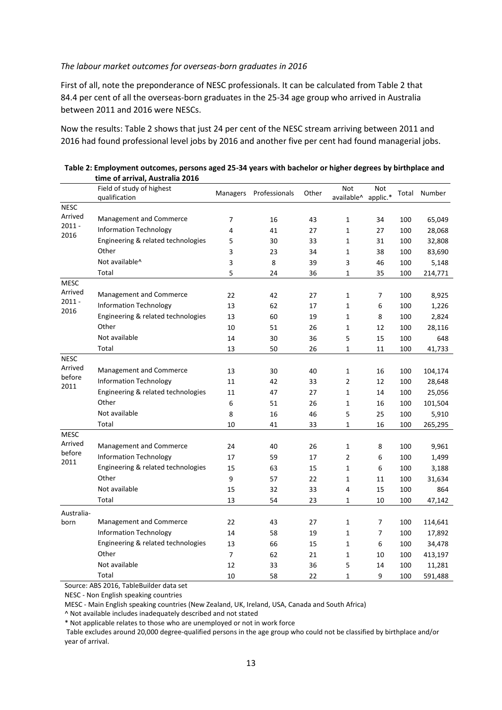#### *The labour market outcomes for overseas-born graduates in 2016*

First of all, note the preponderance of NESC professionals. It can be calculated from Table 2 that 84.4 per cent of all the overseas-born graduates in the 25-34 age group who arrived in Australia between 2011 and 2016 were NESCs.

Now the results: Table 2 shows that just 24 per cent of the NESC stream arriving between 2011 and 2016 had found professional level jobs by 2016 and another five per cent had found managerial jobs.

|                             | umc vi anivai, Ausu ana 2010<br>Field of study of highest<br>qualification | <b>Managers</b> | Professionals | Other | Not<br>available^ applic.* | Not |     | Total Number |
|-----------------------------|----------------------------------------------------------------------------|-----------------|---------------|-------|----------------------------|-----|-----|--------------|
| <b>NESC</b>                 |                                                                            |                 |               |       |                            |     |     |              |
| Arrived<br>$2011 -$<br>2016 | Management and Commerce                                                    | 7               | 16            | 43    | 1                          | 34  | 100 | 65,049       |
|                             | <b>Information Technology</b>                                              | 4               | 41            | 27    | 1                          | 27  | 100 | 28,068       |
|                             | Engineering & related technologies                                         | 5               | 30            | 33    | 1                          | 31  | 100 | 32,808       |
|                             | Other                                                                      | 3               | 23            | 34    | 1                          | 38  | 100 | 83,690       |
|                             | Not available^                                                             | 3               | 8             | 39    | 3                          | 46  | 100 | 5,148        |
|                             | Total                                                                      | 5               | 24            | 36    | 1                          | 35  | 100 | 214,771      |
| <b>MESC</b>                 |                                                                            |                 |               |       |                            |     |     |              |
| Arrived                     | Management and Commerce                                                    | 22              | 42            | 27    | 1                          | 7   | 100 | 8,925        |
| $2011 -$                    | <b>Information Technology</b>                                              | 13              | 62            | 17    | 1                          | 6   | 100 | 1,226        |
| 2016                        | Engineering & related technologies                                         | 13              | 60            | 19    | 1                          | 8   | 100 | 2,824        |
|                             | Other                                                                      | 10              | 51            | 26    | 1                          | 12  | 100 | 28,116       |
|                             | Not available                                                              | 14              | 30            | 36    | 5                          | 15  | 100 | 648          |
|                             | Total                                                                      | 13              | 50            | 26    | 1                          | 11  | 100 | 41,733       |
| <b>NESC</b>                 |                                                                            |                 |               |       |                            |     |     |              |
| Arrived                     | Management and Commerce                                                    | 13              | 30            | 40    | 1                          | 16  | 100 | 104,174      |
| before<br>2011              | <b>Information Technology</b>                                              | 11              | 42            | 33    | 2                          | 12  | 100 | 28,648       |
|                             | Engineering & related technologies                                         | 11              | 47            | 27    | 1                          | 14  | 100 | 25,056       |
|                             | Other                                                                      | 6               | 51            | 26    | $\mathbf 1$                | 16  | 100 | 101,504      |
|                             | Not available                                                              | 8               | 16            | 46    | 5                          | 25  | 100 | 5,910        |
|                             | Total                                                                      | 10              | 41            | 33    | 1                          | 16  | 100 | 265,295      |
| <b>MESC</b>                 |                                                                            |                 |               |       |                            |     |     |              |
| Arrived<br>before<br>2011   | Management and Commerce                                                    | 24              | 40            | 26    | 1                          | 8   | 100 | 9,961        |
|                             | <b>Information Technology</b>                                              | 17              | 59            | 17    | $\overline{2}$             | 6   | 100 | 1,499        |
|                             | Engineering & related technologies                                         | 15              | 63            | 15    | 1                          | 6   | 100 | 3,188        |
|                             | Other                                                                      | 9               | 57            | 22    | 1                          | 11  | 100 | 31,634       |
|                             | Not available                                                              | 15              | 32            | 33    | 4                          | 15  | 100 | 864          |
|                             | Total                                                                      | 13              | 54            | 23    | 1                          | 10  | 100 | 47,142       |
| Australia-                  |                                                                            |                 |               |       |                            |     |     |              |
| born                        | Management and Commerce                                                    | 22              | 43            | 27    | 1                          | 7   | 100 | 114,641      |
|                             | <b>Information Technology</b>                                              | 14              | 58            | 19    | 1                          | 7   | 100 | 17,892       |
|                             | Engineering & related technologies                                         | 13              | 66            | 15    | 1                          | 6   | 100 | 34,478       |
|                             | Other                                                                      | 7               | 62            | 21    | 1                          | 10  | 100 | 413,197      |
|                             | Not available                                                              | 12              | 33            | 36    | 5                          | 14  | 100 | 11,281       |
|                             | Total                                                                      | 10              | 58            | 22    | 1                          | 9   | 100 | 591,488      |

| Table 2: Employment outcomes, persons aged 25-34 years with bachelor or higher degrees by birthplace and |
|----------------------------------------------------------------------------------------------------------|
| time of arrival, Australia 2016                                                                          |

Source: ABS 2016, TableBuilder data set

NESC - Non English speaking countries

MESC - Main English speaking countries (New Zealand, UK, Ireland, USA, Canada and South Africa)

^ Not available includes inadequately described and not stated

\* Not applicable relates to those who are unemployed or not in work force

Table excludes around 20,000 degree-qualified persons in the age group who could not be classified by birthplace and/or year of arrival.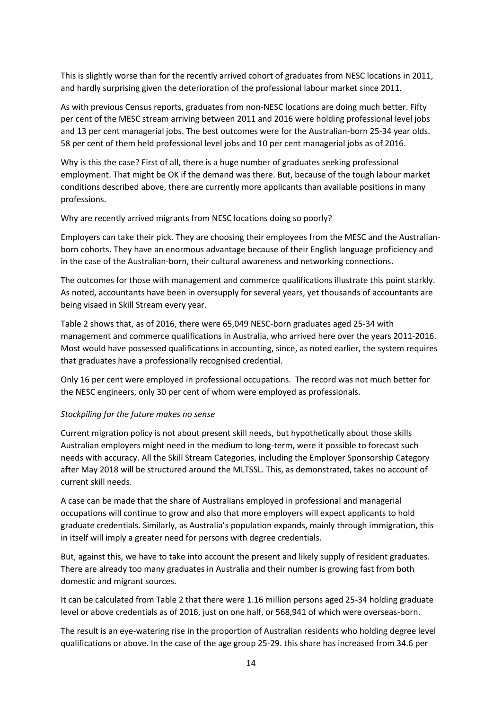This is slightly worse than for the recently arrived cohort of graduates from NESC locations in 2011, and hardly surprising given the deterioration of the professional labour market since 2011.

As with previous Census reports, graduates from non-NESC locations are doing much better. Fifty per cent of the MESC stream arriving between 2011 and 2016 were holding professional level jobs and 13 per cent managerial jobs. The best outcomes were for the Australian-born 25-34 year olds. 58 per cent of them held professional level jobs and 10 per cent managerial jobs as of 2016.

Why is this the case? First of all, there is a huge number of graduates seeking professional employment. That might be OK if the demand was there. But, because of the tough labour market conditions described above, there are currently more applicants than available positions in many professions.

Why are recently arrived migrants from NESC locations doing so poorly?

Employers can take their pick. They are choosing their employees from the MESC and the Australianborn cohorts. They have an enormous advantage because of their English language proficiency and in the case of the Australian-born, their cultural awareness and networking connections.

The outcomes for those with management and commerce qualifications illustrate this point starkly. As noted, accountants have been in oversupply for several years, yet thousands of accountants are being visaed in Skill Stream every year.

Table 2 shows that, as of 2016, there were 65,049 NESC-born graduates aged 25-34 with management and commerce qualifications in Australia, who arrived here over the years 2011-2016. Most would have possessed qualifications in accounting, since, as noted earlier, the system requires that graduates have a professionally recognised credential.

Only 16 per cent were employed in professional occupations. The record was not much better for the NESC engineers, only 30 per cent of whom were employed as professionals.

## *Stockpiling for the future makes no sense*

Current migration policy is not about present skill needs, but hypothetically about those skills Australian employers might need in the medium to long-term, were it possible to forecast such needs with accuracy. All the Skill Stream Categories, including the Employer Sponsorship Category after May 2018 will be structured around the MLTSSL. This, as demonstrated, takes no account of current skill needs.

A case can be made that the share of Australians employed in professional and managerial occupations will continue to grow and also that more employers will expect applicants to hold graduate credentials. Similarly, as Australia's population expands, mainly through immigration, this in itself will imply a greater need for persons with degree credentials.

But, against this, we have to take into account the present and likely supply of resident graduates. There are already too many graduates in Australia and their number is growing fast from both domestic and migrant sources.

It can be calculated from Table 2 that there were 1.16 million persons aged 25-34 holding graduate level or above credentials as of 2016, just on one half, or 568,941 of which were overseas-born.

The result is an eye-watering rise in the proportion of Australian residents who holding degree level qualifications or above. In the case of the age group 25-29. this share has increased from 34.6 per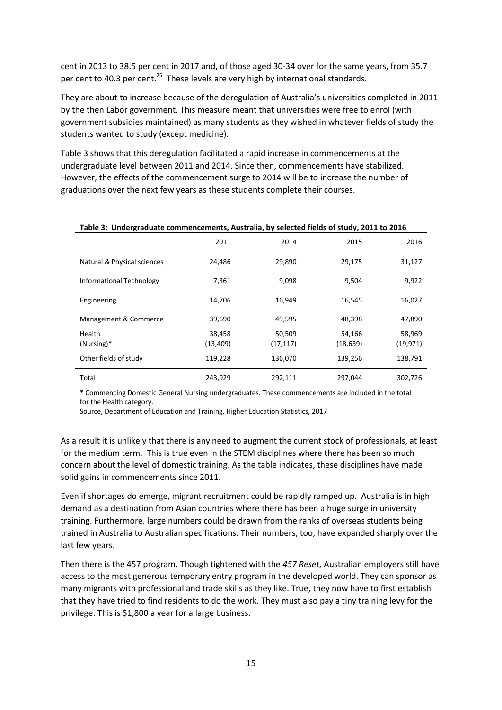cent in 2013 to 38.5 per cent in 2017 and, of those aged 30-34 over for the same years, from 35.7 per cent to 40.3 per cent.<sup>25</sup> These levels are very high by international standards.

They are about to increase because of the deregulation of Australia's universities completed in 2011 by the then Labor government. This measure meant that universities were free to enrol (with government subsidies maintained) as many students as they wished in whatever fields of study the students wanted to study (except medicine).

Table 3 shows that this deregulation facilitated a rapid increase in commencements at the undergraduate level between 2011 and 2014. Since then, commencements have stabilized. However, the effects of the commencement surge to 2014 will be to increase the number of graduations over the next few years as these students complete their courses.

|                             |           |           | .,        |           |
|-----------------------------|-----------|-----------|-----------|-----------|
|                             | 2011      | 2014      | 2015      | 2016      |
| Natural & Physical sciences | 24,486    | 29,890    | 29,175    | 31,127    |
| Informational Technology    | 7,361     | 9,098     | 9,504     | 9,922     |
| Engineering                 | 14,706    | 16,949    | 16,545    | 16,027    |
| Management & Commerce       | 39,690    | 49,595    | 48,398    | 47,890    |
| Health                      | 38,458    | 50,509    | 54,166    | 58,969    |
| $(Nursing)*$                | (13, 409) | (17, 117) | (18, 639) | (19, 971) |
| Other fields of study       | 119,228   | 136,070   | 139,256   | 138,791   |
| Total                       | 243,929   | 292,111   | 297,044   | 302,726   |

#### **Table 3: Undergraduate commencements, Australia, by selected fields of study, 2011 to 2016**

\* Commencing Domestic General Nursing undergraduates. These commencements are included in the total for the Health category.

Source, Department of Education and Training, Higher Education Statistics, 2017

As a result it is unlikely that there is any need to augment the current stock of professionals, at least for the medium term. This is true even in the STEM disciplines where there has been so much concern about the level of domestic training. As the table indicates, these disciplines have made solid gains in commencements since 2011.

Even if shortages do emerge, migrant recruitment could be rapidly ramped up. Australia is in high demand as a destination from Asian countries where there has been a huge surge in university training. Furthermore, large numbers could be drawn from the ranks of overseas students being trained in Australia to Australian specifications. Their numbers, too, have expanded sharply over the last few years.

Then there is the 457 program. Though tightened with the *457 Reset,* Australian employers still have access to the most generous temporary entry program in the developed world. They can sponsor as many migrants with professional and trade skills as they like. True, they now have to first establish that they have tried to find residents to do the work. They must also pay a tiny training levy for the privilege. This is \$1,800 a year for a large business.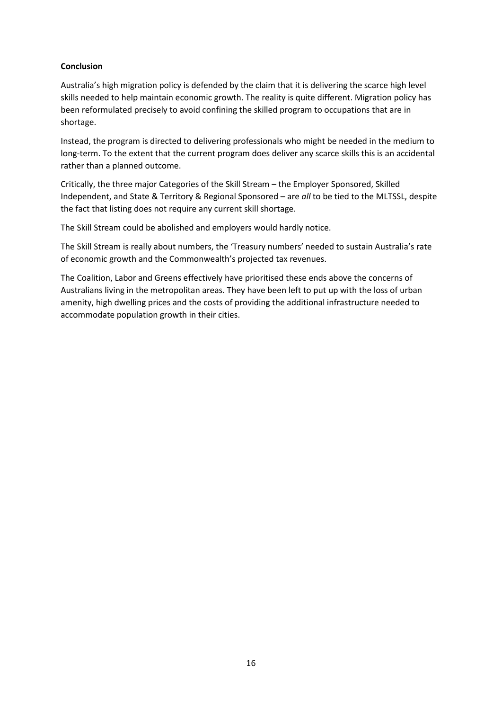## **Conclusion**

Australia's high migration policy is defended by the claim that it is delivering the scarce high level skills needed to help maintain economic growth. The reality is quite different. Migration policy has been reformulated precisely to avoid confining the skilled program to occupations that are in shortage.

Instead, the program is directed to delivering professionals who might be needed in the medium to long-term. To the extent that the current program does deliver any scarce skills this is an accidental rather than a planned outcome.

Critically, the three major Categories of the Skill Stream – the Employer Sponsored, Skilled Independent, and State & Territory & Regional Sponsored – are *all* to be tied to the MLTSSL, despite the fact that listing does not require any current skill shortage.

The Skill Stream could be abolished and employers would hardly notice.

The Skill Stream is really about numbers, the 'Treasury numbers' needed to sustain Australia's rate of economic growth and the Commonwealth's projected tax revenues.

The Coalition, Labor and Greens effectively have prioritised these ends above the concerns of Australians living in the metropolitan areas. They have been left to put up with the loss of urban amenity, high dwelling prices and the costs of providing the additional infrastructure needed to accommodate population growth in their cities.